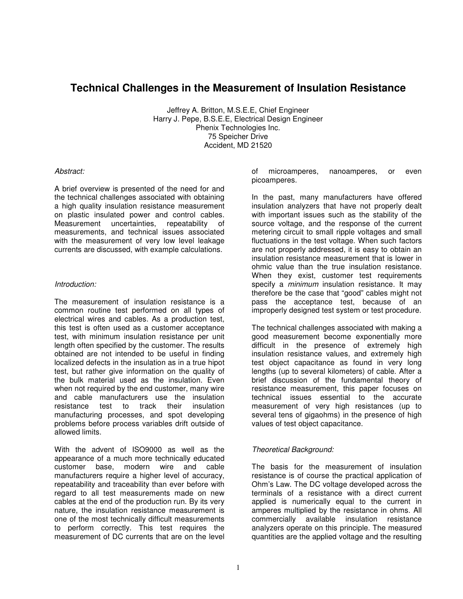# **Technical Challenges in the Measurement of Insulation Resistance**

Jeffrey A. Britton, M.S.E.E, Chief Engineer Harry J. Pepe, B.S.E.E, Electrical Design Engineer Phenix Technologies Inc. 75 Speicher Drive Accident, MD 21520

#### Abstract:

A brief overview is presented of the need for and the technical challenges associated with obtaining a high quality insulation resistance measurement on plastic insulated power and control cables. Measurement uncertainties, repeatability of measurements, and technical issues associated with the measurement of very low level leakage currents are discussed, with example calculations.

#### Introduction:

The measurement of insulation resistance is a common routine test performed on all types of electrical wires and cables. As a production test, this test is often used as a customer acceptance test, with minimum insulation resistance per unit length often specified by the customer. The results obtained are not intended to be useful in finding localized defects in the insulation as in a true hipot test, but rather give information on the quality of the bulk material used as the insulation. Even when not required by the end customer, many wire and cable manufacturers use the insulation resistance test to track their insulation manufacturing processes, and spot developing problems before process variables drift outside of allowed limits.

With the advent of ISO9000 as well as the appearance of a much more technically educated customer base, modern wire and cable manufacturers require a higher level of accuracy, repeatability and traceability than ever before with regard to all test measurements made on new cables at the end of the production run. By its very nature, the insulation resistance measurement is one of the most technically difficult measurements to perform correctly. This test requires the measurement of DC currents that are on the level of microamperes, nanoamperes, or even picoamperes.

In the past, many manufacturers have offered insulation analyzers that have not properly dealt with important issues such as the stability of the source voltage, and the response of the current metering circuit to small ripple voltages and small fluctuations in the test voltage. When such factors are not properly addressed, it is easy to obtain an insulation resistance measurement that is lower in ohmic value than the true insulation resistance. When they exist, customer test requirements specify a *minimum* insulation resistance. It may therefore be the case that "good" cables might not pass the acceptance test, because of an improperly designed test system or test procedure.

The technical challenges associated with making a good measurement become exponentially more difficult in the presence of extremely high insulation resistance values, and extremely high test object capacitance as found in very long lengths (up to several kilometers) of cable. After a brief discussion of the fundamental theory of resistance measurement, this paper focuses on technical issues essential to the accurate measurement of very high resistances (up to several tens of gigaohms) in the presence of high values of test object capacitance.

# Theoretical Background:

The basis for the measurement of insulation resistance is of course the practical application of Ohm's Law. The DC voltage developed across the terminals of a resistance with a direct current applied is numerically equal to the current in amperes multiplied by the resistance in ohms. All commercially available insulation resistance analyzers operate on this principle. The measured quantities are the applied voltage and the resulting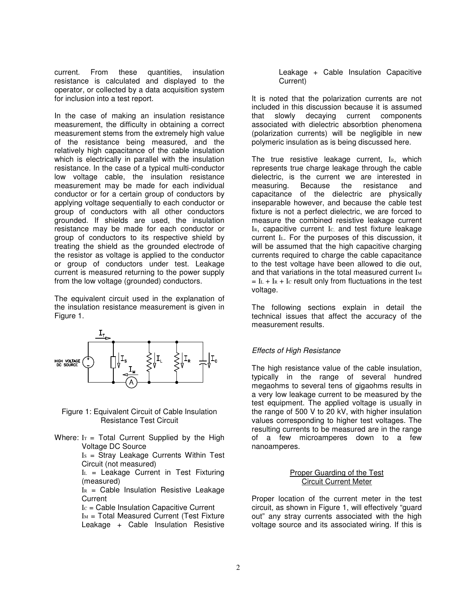current. From these quantities, insulation resistance is calculated and displayed to the operator, or collected by a data acquisition system for inclusion into a test report.

In the case of making an insulation resistance measurement, the difficulty in obtaining a correct measurement stems from the extremely high value of the resistance being measured, and the relatively high capacitance of the cable insulation which is electrically in parallel with the insulation resistance. In the case of a typical multi-conductor low voltage cable, the insulation resistance measurement may be made for each individual conductor or for a certain group of conductors by applying voltage sequentially to each conductor or group of conductors with all other conductors grounded. If shields are used, the insulation resistance may be made for each conductor or group of conductors to its respective shield by treating the shield as the grounded electrode of the resistor as voltage is applied to the conductor or group of conductors under test. Leakage current is measured returning to the power supply from the low voltage (grounded) conductors.

The equivalent circuit used in the explanation of the insulation resistance measurement is given in Figure 1.



Figure 1: Equivalent Circuit of Cable Insulation Resistance Test Circuit

Where:  $Ir = Total Current Supplement$  by the High Voltage DC Source

Is = Stray Leakage Currents Within Test Circuit (not measured)

 $I<sub>L</sub>$  = Leakage Current in Test Fixturing (measured)

 $I<sub>R</sub>$  = Cable Insulation Resistive Leakage **Current** 

 $I<sub>C</sub>$  = Cable Insulation Capacitive Current  $Im = Total Measured Current (Test Fixture)$ Leakage + Cable Insulation Resistive Leakage + Cable Insulation Capacitive Current)

It is noted that the polarization currents are not included in this discussion because it is assumed that slowly decaying current components associated with dielectric absorbtion phenomena (polarization currents) will be negligible in new polymeric insulation as is being discussed here.

The true resistive leakage current, IR, which represents true charge leakage through the cable dielectric, is the current we are interested in measuring. Because the resistance and capacitance of the dielectric are physically inseparable however, and because the cable test fixture is not a perfect dielectric, we are forced to measure the combined resistive leakage current IR, capacitive current Ic, and test fixture leakage current IL. For the purposes of this discussion, it will be assumed that the high capacitive charging currents required to charge the cable capacitance to the test voltage have been allowed to die out, and that variations in the total measured current  $I_M$  $=$  I<sub>L</sub> + I<sub>R</sub> + I<sub>C</sub> result only from fluctuations in the test voltage.

The following sections explain in detail the technical issues that affect the accuracy of the measurement results.

# Effects of High Resistance

The high resistance value of the cable insulation, typically in the range of several hundred megaohms to several tens of gigaohms results in a very low leakage current to be measured by the test equipment. The applied voltage is usually in the range of 500 V to 20 kV, with higher insulation values corresponding to higher test voltages. The resulting currents to be measured are in the range of a few microamperes down to a few nanoamperes.

#### Proper Guarding of the Test Circuit Current Meter

Proper location of the current meter in the test circuit, as shown in Figure 1, will effectively "guard out" any stray currents associated with the high voltage source and its associated wiring. If this is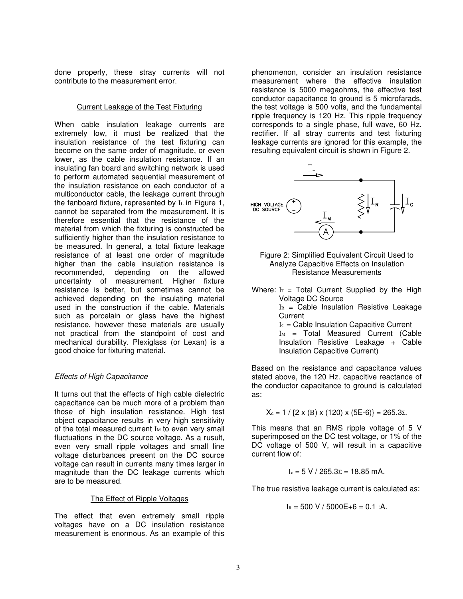done properly, these stray currents will not contribute to the measurement error.

#### Current Leakage of the Test Fixturing

When cable insulation leakage currents are extremely low, it must be realized that the insulation resistance of the test fixturing can become on the same order of magnitude, or even lower, as the cable insulation resistance. If an insulating fan board and switching network is used to perform automated sequential measurement of the insulation resistance on each conductor of a multiconductor cable, the leakage current through the fanboard fixture, represented by  $I<sub>L</sub>$  in Figure 1, cannot be separated from the measurement. It is therefore essential that the resistance of the material from which the fixturing is constructed be sufficiently higher than the insulation resistance to be measured. In general, a total fixture leakage resistance of at least one order of magnitude higher than the cable insulation resistance is recommended, depending on the allowed uncertainty of measurement. Higher fixture resistance is better, but sometimes cannot be achieved depending on the insulating material used in the construction if the cable. Materials such as porcelain or glass have the highest resistance, however these materials are usually not practical from the standpoint of cost and mechanical durability. Plexiglass (or Lexan) is a good choice for fixturing material.

# Effects of High Capacitance

It turns out that the effects of high cable dielectric capacitance can be much more of a problem than those of high insulation resistance. High test object capacitance results in very high sensitivity of the total measured current  $I_M$  to even very small fluctuations in the DC source voltage. As a rusult, even very small ripple voltages and small line voltage disturbances present on the DC source voltage can result in currents many times larger in magnitude than the DC leakage currents which are to be measured.

# The Effect of Ripple Voltages

The effect that even extremely small ripple voltages have on a DC insulation resistance measurement is enormous. As an example of this phenomenon, consider an insulation resistance measurement where the effective insulation resistance is 5000 megaohms, the effective test conductor capacitance to ground is 5 microfarads, the test voltage is 500 volts, and the fundamental ripple frequency is 120 Hz. This ripple frequency corresponds to a single phase, full wave, 60 Hz. rectifier. If all stray currents and test fixturing leakage currents are ignored for this example, the resulting equivalent circuit is shown in Figure 2.



- Figure 2: Simplified Equivalent Circuit Used to Analyze Capacitive Effects on Insulation Resistance Measurements
- Where:  $Ir = Total Current Supplement$  by the High Voltage DC Source

 $I<sub>R</sub>$  = Cable Insulation Resistive Leakage **Current** 

 $I<sub>C</sub>$  = Cable Insulation Capacitive Current

 $I_M$  = Total Measured Current (Cable Insulation Resistive Leakage + Cable Insulation Capacitive Current)

Based on the resistance and capacitance values stated above, the 120 Hz. capacitive reactance of the conductor capacitance to ground is calculated as:

$$
X_c = 1 / {2 \times (B) \times (120) \times (5E-6)} = 265.3\Sigma.
$$

This means that an RMS ripple voltage of 5 V superimposed on the DC test voltage, or 1% of the DC voltage of 500 V, will result in a capacitive current flow of:

$$
I_c = 5 V / 265.3 \Sigma = 18.85 mA.
$$

The true resistive leakage current is calculated as:

$$
I_R = 500 V / 5000E + 6 = 0.1 : A.
$$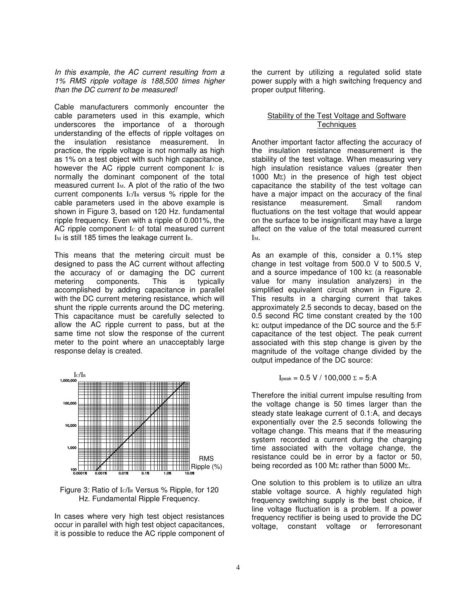In this example, the AC current resulting from a 1% RMS ripple voltage is 188,500 times higher than the DC current to be measured!

Cable manufacturers commonly encounter the cable parameters used in this example, which underscores the importance of a thorough understanding of the effects of ripple voltages on the insulation resistance measurement. In practice, the ripple voltage is not normally as high as 1% on a test object with such high capacitance, however the AC ripple current component Ic is normally the dominant component of the total measured current  $I_M$ . A plot of the ratio of the two current components IC/IR versus % ripple for the cable parameters used in the above example is shown in Figure 3, based on 120 Hz. fundamental ripple frequency. Even with a ripple of 0.001%, the AC ripple component Ic of total measured current I<sub>M</sub> is still 185 times the leakage current IR.

This means that the metering circuit must be designed to pass the AC current without affecting the accuracy of or damaging the DC current metering components. This is typically accomplished by adding capacitance in parallel with the DC current metering resistance, which will shunt the ripple currents around the DC metering. This capacitance must be carefully selected to allow the AC ripple current to pass, but at the same time not slow the response of the current meter to the point where an unacceptably large response delay is created.



Figure 3: Ratio of IC/IR Versus % Ripple, for 120 Hz. Fundamental Ripple Frequency.

In cases where very high test object resistances occur in parallel with high test object capacitances, it is possible to reduce the AC ripple component of the current by utilizing a regulated solid state power supply with a high switching frequency and proper output filtering.

## Stability of the Test Voltage and Software **Techniques**

Another important factor affecting the accuracy of the insulation resistance measurement is the stability of the test voltage. When measuring very high insulation resistance values (greater then 1000 MΣ) in the presence of high test object capacitance the stability of the test voltage can have a major impact on the accuracy of the final resistance measurement. Small random fluctuations on the test voltage that would appear on the surface to be insignificant may have a large affect on the value of the total measured current IM.

As an example of this, consider a 0.1% step change in test voltage from 500.0 V to 500.5 V, and a source impedance of 100  $k\text{ }z$  (a reasonable value for many insulation analyzers) in the simplified equivalent circuit shown in Figure 2. This results in a charging current that takes approximately 2.5 seconds to decay, based on the 0.5 second RC time constant created by the 100 kΣ output impedance of the DC source and the 5:F capacitance of the test object. The peak current associated with this step change is given by the magnitude of the voltage change divided by the output impedance of the DC source:

$$
I_{\text{peak}} = 0.5 V / 100,000 \Sigma = 5:A
$$

Therefore the initial current impulse resulting from the voltage change is 50 times larger than the steady state leakage current of 0.1:A, and decays exponentially over the 2.5 seconds following the voltage change. This means that if the measuring system recorded a current during the charging time associated with the voltage change, the resistance could be in error by a factor or 50, being recorded as 100 MΣ rather than 5000 MΣ.

One solution to this problem is to utilize an ultra stable voltage source. A highly regulated high frequency switching supply is the best choice, if line voltage fluctuation is a problem. If a power frequency rectifier is being used to provide the DC voltage, constant voltage or ferroresonant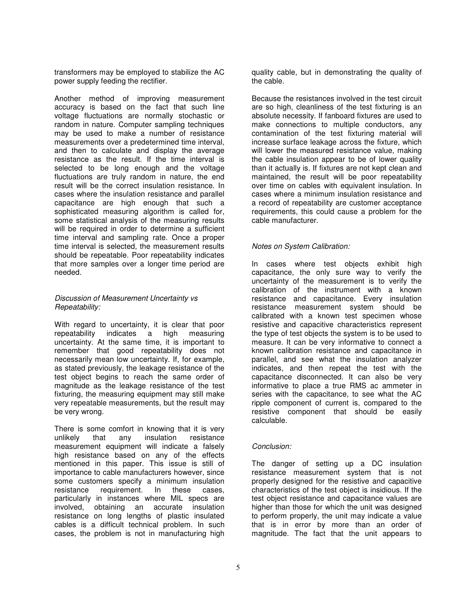transformers may be employed to stabilize the AC power supply feeding the rectifier.

Another method of improving measurement accuracy is based on the fact that such line voltage fluctuations are normally stochastic or random in nature. Computer sampling techniques may be used to make a number of resistance measurements over a predetermined time interval, and then to calculate and display the average resistance as the result. If the time interval is selected to be long enough and the voltage fluctuations are truly random in nature, the end result will be the correct insulation resistance. In cases where the insulation resistance and parallel capacitance are high enough that such a sophisticated measuring algorithm is called for, some statistical analysis of the measuring results will be required in order to determine a sufficient time interval and sampling rate. Once a proper time interval is selected, the measurement results should be repeatable. Poor repeatability indicates that more samples over a longer time period are needed.

#### Discussion of Measurement Uncertainty vs Repeatability:

With regard to uncertainty, it is clear that poor repeatability indicates a high measuring uncertainty. At the same time, it is important to remember that good repeatability does not necessarily mean low uncertainty. If, for example, as stated previously, the leakage resistance of the test object begins to reach the same order of magnitude as the leakage resistance of the test fixturing, the measuring equipment may still make very repeatable measurements, but the result may be very wrong.

There is some comfort in knowing that it is very unlikely that any insulation resistance measurement equipment will indicate a falsely high resistance based on any of the effects mentioned in this paper. This issue is still of importance to cable manufacturers however, since some customers specify a minimum insulation resistance requirement. In these cases, particularly in instances where MIL specs are involved, obtaining an accurate insulation resistance on long lengths of plastic insulated cables is a difficult technical problem. In such cases, the problem is not in manufacturing high

quality cable, but in demonstrating the quality of the cable.

Because the resistances involved in the test circuit are so high, cleanliness of the test fixturing is an absolute necessity. If fanboard fixtures are used to make connections to multiple conductors, any contamination of the test fixturing material will increase surface leakage across the fixture, which will lower the measured resistance value, making the cable insulation appear to be of lower quality than it actually is. If fixtures are not kept clean and maintained, the result will be poor repeatability over time on cables with equivalent insulation. In cases where a minimum insulation resistance and a record of repeatability are customer acceptance requirements, this could cause a problem for the cable manufacturer.

#### Notes on System Calibration:

In cases where test objects exhibit high capacitance, the only sure way to verify the uncertainty of the measurement is to verify the calibration of the instrument with a known resistance and capacitance. Every insulation resistance measurement system should be calibrated with a known test specimen whose resistive and capacitive characteristics represent the type of test objects the system is to be used to measure. It can be very informative to connect a known calibration resistance and capacitance in parallel, and see what the insulation analyzer indicates, and then repeat the test with the capacitance disconnected. It can also be very informative to place a true RMS ac ammeter in series with the capacitance, to see what the AC ripple component of current is, compared to the resistive component that should be easily calculable.

# Conclusion:

The danger of setting up a DC insulation resistance measurement system that is not properly designed for the resistive and capacitive characteristics of the test object is insidious. If the test object resistance and capacitance values are higher than those for which the unit was designed to perform properly, the unit may indicate a value that is in error by more than an order of magnitude. The fact that the unit appears to